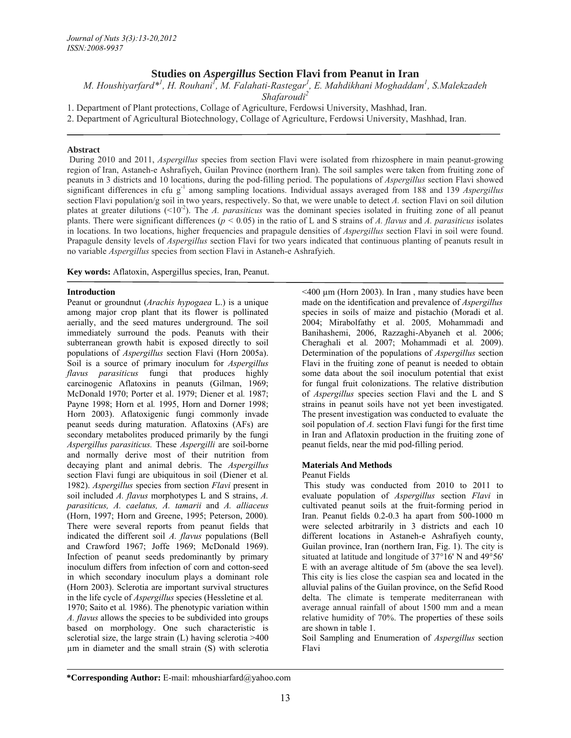# **Studies on** *Aspergillus* **Section Flavi from Peanut in Iran**

*M. Houshiyarfard\*1 , H. Rouhani1 , M. Falahati-Rastegar1 , E. Mahdikhani Moghaddam1 , S.Malekzadeh* 

*Shafaroudi2*

1. Department of Plant protections, Collage of Agriculture, Ferdowsi University, Mashhad, Iran.

2. Department of Agricultural Biotechnology, Collage of Agriculture, Ferdowsi University, Mashhad, Iran.

### **Abstract**

 During 2010 and 2011, *Aspergillus* species from section Flavi were isolated from rhizosphere in main peanut-growing region of Iran, Astaneh-e Ashrafiyeh, Guilan Province (northern Iran). The soil samples were taken from fruiting zone of peanuts in 3 districts and 10 locations, during the pod-filling period. The populations of *Aspergillus* section Flavi showed significant differences in cfu g-1 among sampling locations. Individual assays averaged from 188 and 139 *Aspergillus*  section Flavi population/g soil in two years, respectively. So that, we were unable to detect *A.* section Flavi on soil dilution plates at greater dilutions (<10-2). The *A. parasiticus* was the dominant species isolated in fruiting zone of all peanut plants. There were significant differences ( $p < 0.05$ ) in the ratio of L and S strains of *A. flavus* and *A. parasiticus* isolates in locations. In two locations, higher frequencies and prapagule densities of *Aspergillus* section Flavi in soil were found. Prapagule density levels of *Aspergillus* section Flavi for two years indicated that continuous planting of peanuts result in no variable *Aspergillus* species from section Flavi in Astaneh-e Ashrafyieh.

**Key words:** Aflatoxin, Aspergillus species, Iran, Peanut.

### **Introduction**

Peanut or groundnut (*Arachis hypogaea* L.) is a unique among major crop plant that its flower is pollinated aerially, and the seed matures underground. The soil immediately surround the pods. Peanuts with their subterranean growth habit is exposed directly to soil populations of *Aspergillus* section Flavi (Horn 2005a). Soil is a source of primary inoculum for *Aspergillus flavus parasiticus* fungi that produces highly carcinogenic Aflatoxins in peanuts (Gilman, 1969; McDonald 1970; Porter et al. 1979; Diener et al*.* 1987; Payne 1998; Horn et al*.* 1995, Horn and Dorner 1998; Horn 2003). Aflatoxigenic fungi commonly invade peanut seeds during maturation. Aflatoxins (AFs) are secondary metabolites produced primarily by the fungi *Aspergillus parasiticus.* These *Aspergilli* are soil-borne and normally derive most of their nutrition from decaying plant and animal debris. The *Aspergillus* section Flavi fungi are ubiquitous in soil (Diener et al*.* 1982). *Aspergillus* species from section *Flavi* present in soil included *A. flavus* morphotypes L and S strains, *A. parasiticus, A. caelatus, A. tamarii* and *A. alliaceus*  (Horn, 1997; Horn and Greene, 1995; Peterson, 2000)*.*  There were several reports from peanut fields that indicated the different soil *A. flavus* populations (Bell and Crawford 1967; Joffe 1969; McDonald 1969). Infection of peanut seeds predominantly by primary inoculum differs from infection of corn and cotton-seed in which secondary inoculum plays a dominant role (Horn 2003). Sclerotia are important survival structures in the life cycle of *Aspergillus* species (Hessletine et al*.*

1970; Saito et al*.* 1986). The phenotypic variation within *A. flavus* allows the species to be subdivided into groups based on morphology. One such characteristic is sclerotial size, the large strain (L) having sclerotia >400 µm in diameter and the small strain (S) with sclerotia

<400 µm (Horn 2003). In Iran , many studies have been made on the identification and prevalence of *Aspergillus*  species in soils of maize and pistachio (Moradi et al. 2004; Mirabolfathy et al. 2005*,* Mohammadi and Banihashemi, 2006, Razzaghi-Abyaneh et al*.* 2006; Cheraghali et al*.* 2007; Mohammadi et al*.* 2009). Determination of the populations of *Aspergillus* section Flavi in the fruiting zone of peanut is needed to obtain some data about the soil inoculum potential that exist for fungal fruit colonizations. The relative distribution of *Aspergillus* species section Flavi and the L and S strains in peanut soils have not yet been investigated. The present investigation was conducted to evaluate the soil population of *A.* section Flavi fungi for the first time in Iran and Aflatoxin production in the fruiting zone of peanut fields, near the mid pod-filling period.

### **Materials And Methods**

#### Peanut Fields

 This study was conducted from 2010 to 2011 to evaluate population of *Aspergillus* section *Flavi* in cultivated peanut soils at the fruit-forming period in Iran. Peanut fields 0.2-0.3 ha apart from 500-1000 m were selected arbitrarily in 3 districts and each 10 different locations in Astaneh-e Ashrafiyeh county, Guilan province, Iran (northern Iran, Fig. 1). The city is situated at latitude and longitude of 37°16' N and 49°56' E with an average altitude of 5m (above the sea level). This city is lies close the caspian sea and located in the alluvial palins of the Guilan province, on the Sefid Rood delta. The climate is temperate mediterranean with average annual rainfall of about 1500 mm and a mean relative humidity of 70%. The properties of these soils are shown in table 1.

Soil Sampling and Enumeration of *Aspergillus* section Flavi

**<sup>\*</sup>Corresponding Author:** E-mail: mhoushiarfard@yahoo.com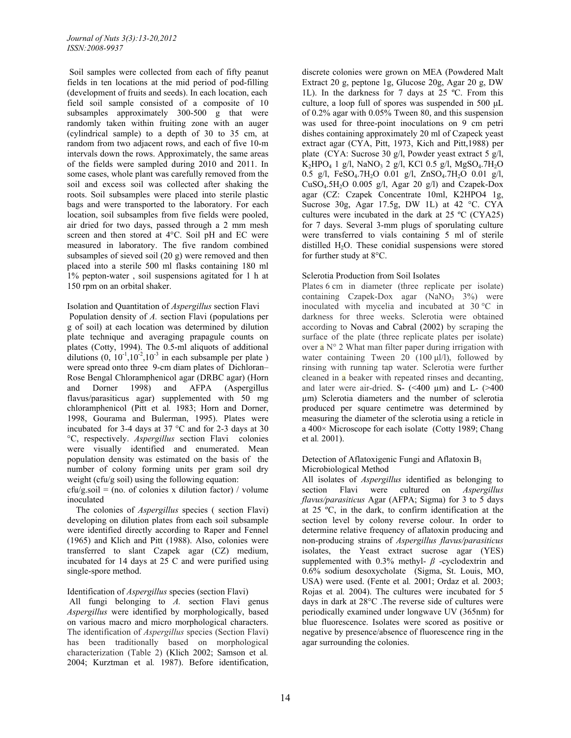Soil samples were collected from each of fifty peanut fields in ten locations at the mid period of pod-filling (development of fruits and seeds). In each location, each field soil sample consisted of a composite of 10 subsamples approximately 300-500 g that were randomly taken within fruiting zone with an auger (cylindrical sample) to a depth of 30 to 35 cm, at random from two adjacent rows, and each of five 10-m intervals down the rows. Approximately, the same areas of the fields were sampled during 2010 and 2011. In some cases, whole plant was carefully removed from the soil and excess soil was collected after shaking the roots. Soil subsamples were placed into sterile plastic bags and were transported to the laboratory. For each location, soil subsamples from five fields were pooled, air dried for two days, passed through a 2 mm mesh screen and then stored at 4°C. Soil pH and EC were measured in laboratory. The five random combined subsamples of sieved soil (20 g) were removed and then placed into a sterile 500 ml flasks containing 180 ml 1% pepton-water , soil suspensions agitated for 1 h at 150 rpm on an orbital shaker.

# Isolation and Quantitation of *Aspergillus* section Flavi

 Population density of *A.* section Flavi (populations per g of soil) at each location was determined by dilution plate technique and averaging prapagule counts on plates (Cotty, 1994). The 0.5-ml aliquots of additional dilutions  $(0, 10^{-1}, 10^{-2}, 10^{-3}$  in each subsample per plate ) were spread onto three 9-cm diam plates of Dichloran– Rose Bengal Chloramphenicol agar (DRBC agar) (Horn and Dorner 1998) and AFPA (Aspergillus flavus/parasiticus agar) supplemented with 50 mg chloramphenicol (Pitt et al*.* 1983; Horn and Dorner, 1998, Gourama and Bulerman, 1995). Plates were incubated for 3-4 days at 37 °C and for 2-3 days at 30 °C, respectively. *Aspergillus* section Flavi colonies were visually identified and enumerated. Mean population density was estimated on the basis of the number of colony forming units per gram soil dry weight (cfu/g soil) using the following equation:

 $cfu/g.soil = (no. of colonies x dilution factor) / volume$ inoculated

 The colonies of *Aspergillus* species ( section Flavi) developing on dilution plates from each soil subsample were identified directly according to Raper and Fennel (1965) and Klich and Pitt (1988). Also, colonies were transferred to slant Czapek agar (CZ) medium, incubated for 14 days at 25 C and were purified using single-spore method.

### Identification of *Aspergillus* species (section Flavi)

 All fungi belonging to *A.* section Flavi genus *Aspergillus* were identified by morphologically, based on various macro and micro morphological characters. The identification of *Aspergillus* species (Section Flavi) has been traditionally based on morphological characterization (Table 2) (Klich 2002; Samson et al*.* 2004; Kurztman et al*.* 1987). Before identification,

discrete colonies were grown on MEA (Powdered Malt Extract 20 g, peptone 1g, Glucose 20g, Agar 20 g, DW 1L). In the darkness for 7 days at 25 ºC. From this culture, a loop full of spores was suspended in 500 μL of 0.2% agar with 0.05% Tween 80, and this suspension was used for three-point inoculations on 9 cm petri dishes containing approximately 20 ml of Czapeck yeast extract agar (CYA, Pitt, 1973, Kich and Pitt,1988) per plate (CYA: Sucrose 30 g/l, Powder yeast extract 5 g/l,  $K_2$ HPO<sub>4</sub> 1 g/l, NaNO<sub>3</sub> 2 g/l, KCl 0.5 g/l, MgSO<sub>4</sub>.7H<sub>2</sub>O 0.5 g/l,  $FeSO_4.7H_2O$  0.01 g/l,  $ZnSO_4.7H_2O$  0.01 g/l, CuSO<sub>4</sub>.5H<sub>2</sub>O 0.005 g/l, Agar 20 g/l) and Czapek-Dox agar (CZ: Czapek Concentrate 10ml, K2HPO4 1g, Sucrose 30g, Agar 17.5g, DW 1L) at 42 °C. CYA cultures were incubated in the dark at 25 ºC (CYA25) for 7 days. Several 3-mm plugs of sporulating culture were transferred to vials containing 5 ml of sterile distilled  $H_2O$ . These conidial suspensions were stored for further study at 8°C.

## Sclerotia Production from Soil Isolates

Plates 6 cm in diameter (three replicate per isolate) containing Czapek-Dox agar  $(NaNO<sub>3</sub> 3%)$  were inoculated with mycelia and incubated at 30 °C in darkness for three weeks. Sclerotia were obtained according to Novas and Cabral (2002) by scraping the surface of the plate (three replicate plates per isolate) over  $\mathbf{a}$  N° 2 What man filter paper during irrigation with water containing Tween 20 (100 μl/l), followed by rinsing with running tap water. Sclerotia were further cleaned in  $\alpha$  beaker with repeated rinses and decanting, and later were air-dried. S-  $(\leq 400 \mu m)$  and L-  $(\geq 400 \mu m)$ µm) Sclerotia diameters and the number of sclerotia produced per square centimetre was determined by measuring the diameter of the sclerotia using a reticle in a 400× Microscope for each isolate (Cotty 1989; Chang et al*.* 2001).

### Detection of Aflatoxigenic Fungi and Aflatoxin  $B_1$ Microbiological Method

All isolates of *Aspergillus* identified as belonging to section Flavi were cultured on *Aspergillus flavus/parasiticus* Agar (AFPA; Sigma) for 3 to 5 days at 25 ºC, in the dark, to confirm identification at the section level by colony reverse colour. In order to determine relative frequency of aflatoxin producing and non-producing strains of *Aspergillus flavus/parasiticus*  isolates, the Yeast extract sucrose agar (YES) supplemented with 0.3% methyl- *β* -cyclodextrin and 0.6% sodium desoxycholate (Sigma, St. Louis, MO, USA) were used. (Fente et al*.* 2001; Ordaz et al*.* 2003; Rojas et al*.* 2004). The cultures were incubated for 5 days in dark at 28°C .The reverse side of cultures were periodically examined under longwave UV (365nm) for blue fluorescence. Isolates were scored as positive or negative by presence/absence of fluorescence ring in the agar surrounding the colonies.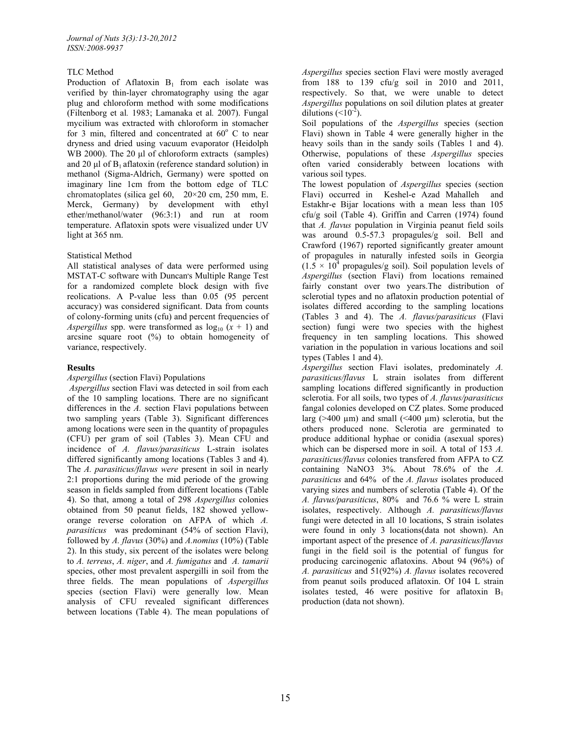## TLC Method

Production of Aflatoxin  $B_1$  from each isolate was verified by thin-layer chromatography using the agar plug and chloroform method with some modifications (Filtenborg et al*.* 1983; Lamanaka et al*.* 2007). Fungal mycilium was extracted with chloroform in stomacher for 3 min, filtered and concentrated at  $60^{\circ}$  C to near dryness and dried using vacuum evaporator (Heidolph WB 2000). The 20 μl of chloroform extracts (samples) and 20  $\mu$ l of  $B_1$  aflatoxin (reference standard solution) in methanol (Sigma-Aldrich, Germany) were spotted on imaginary line 1cm from the bottom edge of TLC chromatoplates (silica gel 60, 20×20 cm, 250 mm, E. Merck, Germany) by development with ethyl ether/methanol/water (96:3:1) and run at room temperature. Aflatoxin spots were visualized under UV light at 365 nm.

### Statistical Method

All statistical analyses of data were performed using MSTAT-C software with Duncan's Multiple Range Test for a randomized complete block design with five reolications. A P-value less than 0.05 (95 percent accuracy) was considered significant. Data from counts of colony-forming units (cfu) and percent frequencies of *Aspergillus* spp. were transformed as  $log_{10} (x + 1)$  and arcsine square root  $(\%)$  to obtain homogeneity of variance, respectively.

## **Results**

### *Aspergillus* (section Flavi) Populations

 *Aspergillus* section Flavi was detected in soil from each of the 10 sampling locations. There are no significant differences in the *A.* section Flavi populations between two sampling years (Table 3). Significant differences among locations were seen in the quantity of propagules (CFU) per gram of soil (Tables 3). Mean CFU and incidence of *A. flavus/parasiticus* L-strain isolates differed significantly among locations (Tables 3 and 4). The *A. parasiticus/flavus were* present in soil in nearly 2:1 proportions during the mid periode of the growing season in fields sampled from different locations (Table 4). So that, among a total of 298 *Aspergillus* colonies obtained from 50 peanut fields, 182 showed yelloworange reverse coloration on AFPA of which *A. parasiticus* was predominant (54% of section Flavi), followed by *A. flavus* (30%) and *A.nomius* (10%) (Table 2). In this study, six percent of the isolates were belong to *A. terreus*, *A. niger*, and *A. fumigatus* and *A. tamarii*  species, other most prevalent aspergilli in soil from the three fields. The mean populations of *Aspergillus* species (section Flavi) were generally low. Mean analysis of CFU revealed significant differences between locations (Table 4). The mean populations of

*Aspergillus* species section Flavi were mostly averaged from 188 to 139 cfu/g soil in 2010 and 2011, respectively. So that, we were unable to detect *Aspergillus* populations on soil dilution plates at greater dilutions  $(<10<sup>-2</sup>)$ .

Soil populations of the *Aspergillus* species (section Flavi) shown in Table 4 were generally higher in the heavy soils than in the sandy soils (Tables 1 and 4). Otherwise, populations of these *Aspergillus* species often varied considerably between locations with various soil types.

The lowest population of *Aspergillus* species (section Flavi) occurred in Keshel-e Azad Mahalleh and Estakhr-e Bijar locations with a mean less than 105 cfu/g soil (Table 4). Griffin and Carren (1974) found that *A. flavus* population in Virginia peanut field soils was around  $0.5-57.3$  propagules/g soil. Bell and Crawford (1967) reported significantly greater amount of propagules in naturally infested soils in Georgia  $(1.5 \times 10^4$  propagules/g soil). Soil population levels of *Aspergillus* (section Flavi) from locations remained fairly constant over two years.The distribution of sclerotial types and no aflatoxin production potential of isolates differed according to the sampling locations (Tables 3 and 4). The *A. flavus/parasiticus* (Flavi section) fungi were two species with the highest frequency in ten sampling locations. This showed variation in the population in various locations and soil types (Tables 1 and 4).

*Aspergillus* section Flavi isolates, predominately *A. parasiticus/flavus* L strain isolates from different sampling locations differed significantly in production sclerotia. For all soils, two types of *A. flavus/parasiticus*  fangal colonies developed on CZ plates. Some produced larg ( $>400 \mu m$ ) and small ( $<400 \mu m$ ) sclerotia, but the others produced none. Sclerotia are germinated to produce additional hyphae or conidia (asexual spores) which can be dispersed more in soil. A total of 153 *A. parasiticus/flavus* colonies transfered from AFPA to CZ containing NaNO3 3%. About 78.6% of the *A. parasiticus* and 64% of the *A. flavus* isolates produced varying sizes and numbers of sclerotia (Table 4). Of the *A. flavus/parasiticus*, 80% and 76.6 % were L strain isolates, respectively. Although *A. parasiticus/flavus*  fungi were detected in all 10 locations, S strain isolates were found in only 3 locations(data not shown). An important aspect of the presence of *A. parasiticus/flavus* fungi in the field soil is the potential of fungus for producing carcinogenic aflatoxins. About 94 (96%) of *A. parasiticus* and 51(92%) *A. flavus* isolates recovered from peanut soils produced aflatoxin. Of 104 L strain isolates tested,  $46$  were positive for aflatoxin  $B_1$ production (data not shown).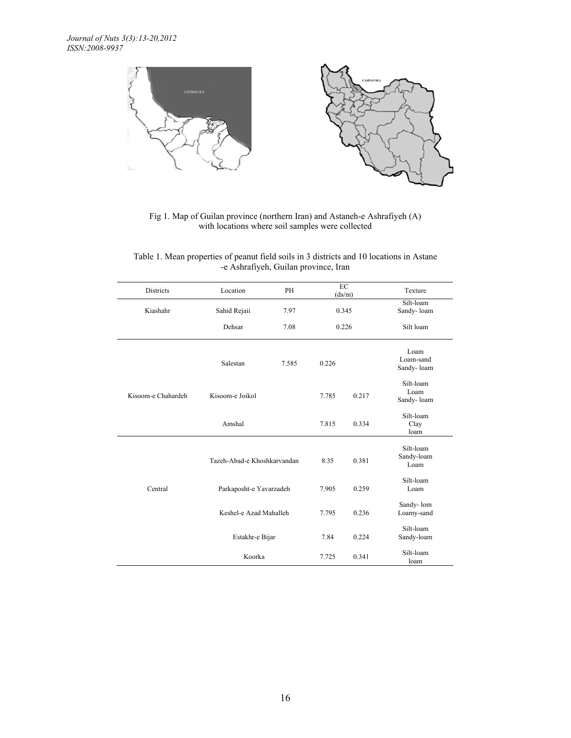

Fig 1. Map of Guilan province (northern Iran) and Astaneh-e Ashrafiyeh (A) with locations where soil samples were collected

| Table 1. Mean properties of peanut field soils in 3 districts and 10 locations in Astane |
|------------------------------------------------------------------------------------------|
| -e Ashrafiyeh, Guilan province, Iran                                                     |

| <b>Districts</b>   | Location                    | PH    |       | EC<br>(ds/m)                    | Texture                         |
|--------------------|-----------------------------|-------|-------|---------------------------------|---------------------------------|
| Kiashahr           | Sahid Rejaii                | 7.97  | 0.345 |                                 | Silt-loam<br>Sandy-loam         |
|                    | Dehsar                      | 7.08  | 0.226 |                                 | Silt loam                       |
|                    | Salestan                    | 7.585 | 0.226 |                                 | Loam<br>Loam-sand<br>Sandy-loam |
| Kisoom-e Chahardeh | Kisoom-e Joikol             |       | 7.785 | 0.217                           | Silt-loam<br>Loam<br>Sandy-loam |
|                    | Amshal                      | 7.815 | 0.334 | Silt-loam<br>Clay<br>loam       |                                 |
|                    | Tazeh-Abad-e Khoshkarvandan | 8.35  | 0.381 | Silt-loam<br>Sandy-loam<br>Loam |                                 |
| Central            | Parkaposht-e Yavarzadeh     | 7.905 | 0.259 | Silt-loam<br>Loam               |                                 |
|                    | Keshel-e Azad Mahalleh      | 7.795 | 0.236 | Sandy-lom<br>Loamy-sand         |                                 |
|                    | Estakhr-e Bijar             |       | 7.84  | 0.224                           | Silt-loam<br>Sandy-loam         |
|                    | Koorka                      | 7.725 | 0.341 | Silt-loam<br>loam               |                                 |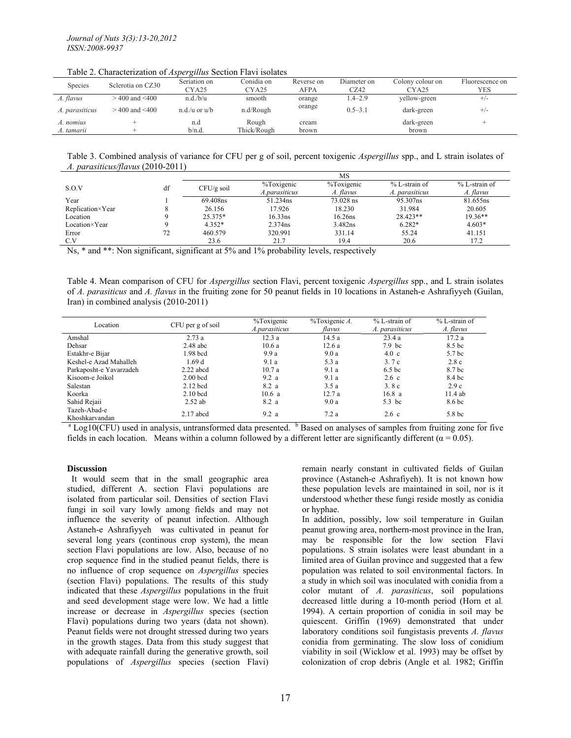Table 2. Characterization of *Aspergillus* Section Flavi isolates

| Species        | Sclerotia on CZ30  | $\sim$<br>Seriation on | Conidia on        | Reverse on | Diameter on | Colony colour on  | Fluorescence on |
|----------------|--------------------|------------------------|-------------------|------------|-------------|-------------------|-----------------|
|                |                    | CYA25                  | CYA <sub>25</sub> | AFPA       | CZ42        | CYA <sub>25</sub> | YES             |
| A. flavus      | $>400$ and $<$ 400 | n.d./b/u               | smooth            | orange     | $1.4 - 2.9$ | yellow-green      | $^{+/-}$        |
| A. parasiticus | $>$ 400 and <400   | $n.d.(u)$ or $u/b$     | n.d/Rough         | orange     | $0.5 - 3.1$ | dark-green        | $^{+/-}$        |
| A. nomius      |                    | n.d                    | Rough             | cream      |             | dark-green        | $\pm$           |
| A. tamarii     |                    | b/n.d                  | Thick/Rough       | brown      |             | brown             |                 |

Table 3. Combined analysis of variance for CFU per g of soil, percent toxigenic *Aspergillus* spp., and L strain isolates of *A. parasiticus/flavus* (2010-2011)

|                  |    | MS           |               |            |                |                 |
|------------------|----|--------------|---------------|------------|----------------|-----------------|
| S.O.V            | df | $CFU/g$ soil | %Toxigenic    | %Toxigenic | % L-strain of  | $% L-strain$ of |
|                  |    |              | A.parasiticus | A. flavus  | A. parasiticus | A. flavus       |
| Year             |    | 69.408ns     | 51.234ns      | 73.028 ns  | 95.307ns       | 81.655ns        |
| Replication×Year |    | 26.156       | 17.926        | 18.230     | 31.984         | 20.605          |
| Location         |    | 25.375*      | $16.33$ ns    | 16.26ns    | 28.423**       | $19.36**$       |
| Location×Year    |    | $4.352*$     | 2.374ns       | 3.482ns    | $6.282*$       | $4.603*$        |
| Error            | 72 | 460.579      | 320.991       | 331.14     | 55.24          | 41.151          |
| C.V              |    | 23.6         | 21.7          | 19.4       | 20.6           | 17.2            |

Ns, \* and \*\*: Non significant, significant at 5% and 1% probability levels, respectively

Table 4. Mean comparison of CFU for *Aspergillus* section Flavi, percent toxigenic *Aspergillus* spp., and L strain isolates of *A. parasiticus* and *A. flavus* in the fruiting zone for 50 peanut fields in 10 locations in Astaneh-e Ashrafiyyeh (Guilan, Iran) in combined analysis (2010-2011)

| Location                | CFU per g of soil | %Toxigenic    | %Toxigenic A. | $% L-strain$ of   | $% L-strain$ of   |
|-------------------------|-------------------|---------------|---------------|-------------------|-------------------|
|                         |                   | A.parasiticus | flavus        | A. parasiticus    | A. flavus         |
| Amshal                  | 2.73a             | 12.3a         | 14.5 a        | 23.4a             | 17.2 a            |
| Dehsar                  | $2.48$ abc        | 10.6a         | 12.6a         | 7.9 <sub>bc</sub> | 8.5 bc            |
| Estakhr-e Bijar         | 1.98 bcd          | 9.9a          | 9.0a          | $4.0\text{ c}$    | 5.7 <sub>bc</sub> |
| Keshel-e Azad Mahalleh  | 1.69d             | 9.1a          | 5.3 a         | 3.7c              | 2.8c              |
| Parkaposht-e Yavarzadeh | $2.22$ abcd       | 10.7a         | 9.1a          | 6.5 <sub>bc</sub> | 8.7 bc            |
| Kisoom-e Joikol         | $2.00$ bcd        | 9.2a          | 9.1a          | $2.6\text{ c}$    | 8.4 bc            |
| Salestan                | $2.12$ bcd        | 8.2a          | 3.5a          | 3.8c              | 2.9c              |
| Koorka                  | $2.10$ bcd        | 10.6a         | 12.7a         | 16.8a             | 11.4ab            |
| Sahid Rejaii            | $2.52$ ab         | 8.2 a         | 9.0a          | 5.3 bc            | 8.6 bc            |
| Tazeh-Abad-e            | $2.17$ abcd       | 9.2a          | 7.2a          |                   | 5.8 <sub>bc</sub> |
| Khoshkarvandan          |                   |               |               | $2.6\text{ c}$    |                   |

 $^{\circ}$  Log10(CFU) used in analysis, untransformed data presented.  $^{\circ}$  Based on analyses of samples from fruiting zone for five fields in each location. Means within a column followed by a different letter are significantly different ( $\alpha = 0.05$ ).

### **Discussion**

 It would seem that in the small geographic area studied, different A. section Flavi populations are isolated from particular soil. Densities of section Flavi fungi in soil vary lowly among fields and may not influence the severity of peanut infection. Although Astaneh-e Ashrafiyyeh was cultivated in peanut for several long years (continous crop system), the mean section Flavi populations are low. Also, because of no crop sequence find in the studied peanut fields, there is no influence of crop sequence on *Aspergillus* species (section Flavi) populations. The results of this study indicated that these *Aspergillus* populations in the fruit and seed development stage were low. We had a little increase or decrease in *Aspergillus* species (section Flavi) populations during two years (data not shown). Peanut fields were not drought stressed during two years in the growth stages. Data from this study suggest that with adequate rainfall during the generative growth, soil populations of *Aspergillus* species (section Flavi)

remain nearly constant in cultivated fields of Guilan province (Astaneh-e Ashrafiyeh). It is not known how these population levels are maintained in soil, nor is it understood whether these fungi reside mostly as conidia or hyphae.

In addition, possibly, low soil temperature in Guilan peanut growing area, northern-most province in the Iran, may be responsible for the low section Flavi populations. S strain isolates were least abundant in a limited area of Guilan province and suggested that a few population was related to soil environmental factors. In a study in which soil was inoculated with conidia from a color mutant of *A. parasiticus*, soil populations decreased little during a 10-month period (Horn et al*.* 1994). A certain proportion of conidia in soil may be quiescent. Griffin (1969) demonstrated that under laboratory conditions soil fungistasis prevents *A. flavus*  conidia from germinating. The slow loss of conidium viability in soil (Wicklow et al. 1993) may be offset by colonization of crop debris (Angle et al*.* 1982; Griffin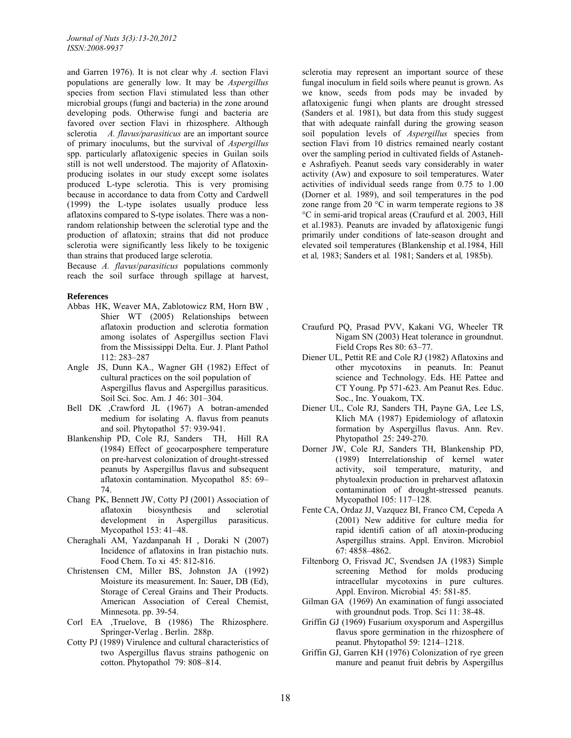and Garren 1976). It is not clear why *A.* section Flavi populations are generally low. It may be *Aspergillus*  species from section Flavi stimulated less than other microbial groups (fungi and bacteria) in the zone around developing pods. Otherwise fungi and bacteria are favored over section Flavi in rhizosphere. Although sclerotia *A. flavus/parasiticus* are an important source of primary inoculums, but the survival of *Aspergillus*  spp. particularly aflatoxigenic species in Guilan soils still is not well understood. The majority of Aflatoxinproducing isolates in our study except some isolates produced L-type sclerotia. This is very promising because in accordance to data from Cotty and Cardwell (1999) the L-type isolates usually produce less aflatoxins compared to S-type isolates. There was a nonrandom relationship between the sclerotial type and the production of aflatoxin; strains that did not produce sclerotia were significantly less likely to be toxigenic than strains that produced large sclerotia.

Because *A. flavus*/*parasiticus* populations commonly reach the soil surface through spillage at harvest,

### **References**

- Abbas HK, Weaver MA, Zablotowicz RM, Horn BW , Shier WT (2005) Relationships between aflatoxin production and sclerotia formation among isolates of Aspergillus section Flavi from the Mississippi Delta. Eur. J. Plant Pathol 112: 283–287
- Angle JS, Dunn KA., Wagner GH (1982) Effect of cultural practices on the soil population of Aspergillus flavus and Aspergillus parasiticus. Soil Sci. Soc. Am. J 46: 301–304.
- Bell DK ,Crawford JL (1967) A botran-amended medium for isolating A. flavus from peanuts and soil. Phytopathol 57: 939-941.
- Blankenship PD, Cole RJ, Sanders TH, Hill RA (1984) Effect of geocarposphere temperature on pre-harvest colonization of drought-stressed peanuts by Aspergillus flavus and subsequent aflatoxin contamination. Mycopathol 85: 69– 74.
- Chang PK, Bennett JW, Cotty PJ (2001) Association of aflatoxin biosynthesis and sclerotial development in Aspergillus parasiticus. Mycopathol 153: 41–48.
- Cheraghali AM, Yazdanpanah H , Doraki N (2007) Incidence of aflatoxins in Iran pistachio nuts. Food Chem. To xi 45: 812-816.
- Christensen CM, Miller BS, Johnston JA (1992) Moisture its measurement. In: Sauer, DB (Ed), Storage of Cereal Grains and Their Products. American Association of Cereal Chemist, Minnesota. pp. 39-54.
- Corl EA ,Truelove, B (1986) The Rhizosphere. Springer-Verlag . Berlin. 288p.
- Cotty PJ (1989) Virulence and cultural characteristics of two Aspergillus flavus strains pathogenic on cotton. Phytopathol 79: 808–814.

sclerotia may represent an important source of these fungal inoculum in field soils where peanut is grown. As we know, seeds from pods may be invaded by aflatoxigenic fungi when plants are drought stressed (Sanders et al*.* 1981), but data from this study suggest that with adequate rainfall during the growing season soil population levels of *Aspergillus* species from section Flavi from 10 districs remained nearly costant over the sampling period in cultivated fields of Astanehe Ashrafiyeh. Peanut seeds vary considerably in water activity (Aw) and exposure to soil temperatures. Water activities of individual seeds range from 0.75 to 1.00 (Dorner et al*.* 1989), and soil temperatures in the pod zone range from 20 $\degree$ C in warm temperate regions to 38 °C in semi-arid tropical areas (Craufurd et al*.* 2003, Hill et al.1983). Peanuts are invaded by aflatoxigenic fungi primarily under conditions of late-season drought and elevated soil temperatures (Blankenship et al*.*1984, Hill et al*,* 1983; Sanders et al*.* 1981; Sanders et al*,* 1985b).

- Craufurd PQ, Prasad PVV, Kakani VG, Wheeler TR Nigam SN (2003) Heat tolerance in groundnut. Field Crops Res 80: 63–77.
- Diener UL, Pettit RE and Cole RJ (1982) Aflatoxins and other mycotoxins in peanuts. In: Peanut science and Technology. Eds. HE Pattee and CT Young. Pp 571-623. Am Peanut Res. Educ. Soc., Inc. Youakom, TX.
- Diener UL, Cole RJ, Sanders TH, Payne GA, Lee LS, Klich MA (1987) Epidemiology of aflatoxin formation by Aspergillus flavus. Ann. Rev. Phytopathol 25: 249-270.
- Dorner JW, Cole RJ, Sanders TH, Blankenship PD, (1989) Interrelationship of kernel water activity, soil temperature, maturity, and phytoalexin production in preharvest aflatoxin contamination of drought-stressed peanuts. Mycopathol 105: 117–128.
- Fente CA, Ordaz JJ, Vazquez BI, Franco CM, Cepeda A (2001) New additive for culture media for rapid identifi cation of afl atoxin-producing Aspergillus strains. Appl. Environ. Microbiol 67: 4858–4862.
- Filtenborg O, Frisvad JC, Svendsen JA (1983) Simple screening Method for molds producing intracellular mycotoxins in pure cultures. Appl. Environ. Microbial 45: 581-85.
- Gilman GA (1969) An examination of fungi associated with groundnut pods. Trop. Sci 11: 38-48.
- Griffin GJ (1969) Fusarium oxysporum and Aspergillus flavus spore germination in the rhizosphere of peanut. Phytopathol 59: 1214–1218.
- Griffin GJ, Garren KH (1976) Colonization of rye green manure and peanut fruit debris by Aspergillus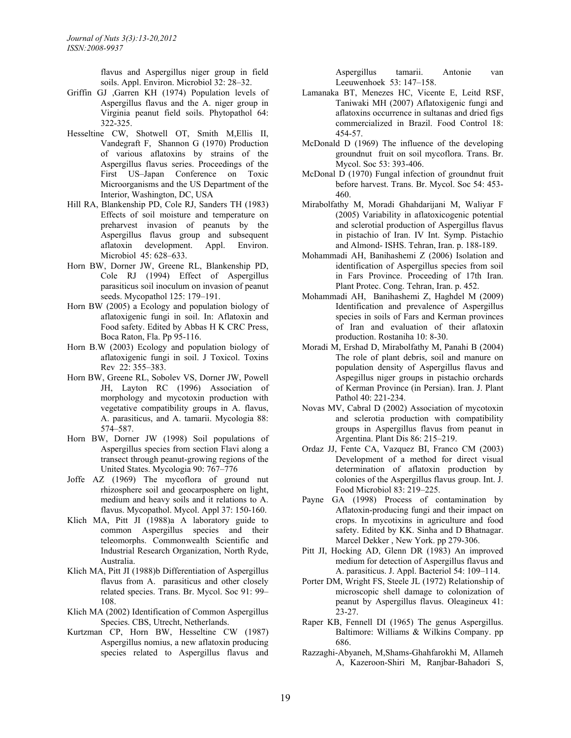flavus and Aspergillus niger group in field soils. Appl. Environ. Microbiol 32: 28–32.

- Griffin GJ ,Garren KH (1974) Population levels of Aspergillus flavus and the A. niger group in Virginia peanut field soils. Phytopathol 64: 322-325.
- Hesseltine CW, Shotwell OT, Smith M,Ellis II, Vandegraft F, Shannon G (1970) Production of various aflatoxins by strains of the Aspergillus flavus series. Proceedings of the First US–Japan Conference on Toxic Microorganisms and the US Department of the Interior, Washington, DC, USA
- Hill RA, Blankenship PD, Cole RJ, Sanders TH (1983) Effects of soil moisture and temperature on preharvest invasion of peanuts by the Aspergillus flavus group and subsequent aflatoxin development. Appl. Environ. Microbiol 45: 628–633.
- Horn BW, Dorner JW, Greene RL, Blankenship PD, Cole RJ (1994) Effect of Aspergillus parasiticus soil inoculum on invasion of peanut seeds. Mycopathol 125: 179–191.
- Horn BW (2005) a Ecology and population biology of aflatoxigenic fungi in soil. In: Aflatoxin and Food safety. Edited by Abbas H K CRC Press, Boca Raton, Fla. Pp 95-116.
- Horn B.W (2003) Ecology and population biology of aflatoxigenic fungi in soil. J Toxicol. Toxins Rev 22: 355–383.
- Horn BW, Greene RL, Sobolev VS, Dorner JW, Powell JH, Layton RC (1996) Association of morphology and mycotoxin production with vegetative compatibility groups in A. flavus, A. parasiticus, and A. tamarii. Mycologia 88: 574–587.
- Horn BW, Dorner JW (1998) Soil populations of Aspergillus species from section Flavi along a transect through peanut-growing regions of the United States. Mycologia 90: 767–776
- Joffe AZ (1969) The mycoflora of ground nut rhizosphere soil and geocarposphere on light, medium and heavy soils and it relations to A. flavus. Mycopathol. Mycol. Appl 37: 150-160.
- Klich MA, Pitt JI (1988)a A laboratory guide to common Aspergillus species and their teleomorphs. Commonwealth Scientific and Industrial Research Organization, North Ryde, Australia.
- Klich MA, Pitt JI (1988)b Differentiation of Aspergillus flavus from A. parasiticus and other closely related species. Trans. Br. Mycol. Soc 91: 99– 108.
- Klich MA (2002) Identification of Common Aspergillus Species. CBS, Utrecht, Netherlands.
- Kurtzman CP, Horn BW, Hesseltine CW (1987) Aspergillus nomius, a new aflatoxin producing species related to Aspergillus flavus and

Aspergillus tamarii. Antonie van Leeuwenhoek 53: 147–158.

- Lamanaka BT, Menezes HC, Vicente E, Leitd RSF, Taniwaki MH (2007) Aflatoxigenic fungi and aflatoxins occurrence in sultanas and dried figs commercialized in Brazil. Food Control 18: 454-57.
- McDonald D (1969) The influence of the developing groundnut fruit on soil mycoflora. Trans. Br. Mycol. Soc 53: 393-406.
- McDonal D (1970) Fungal infection of groundnut fruit before harvest. Trans. Br. Mycol. Soc 54: 453- 460.
- Mirabolfathy M, Moradi Ghahdarijani M, Waliyar F (2005) Variability in aflatoxicogenic potential and sclerotial production of Aspergillus flavus in pistachio of Iran. IV Int. Symp. Pistachio and Almond- ISHS. Tehran, Iran. p. 188-189.
- Mohammadi AH, Banihashemi Z (2006) Isolation and identification of Aspergillus species from soil in Fars Province. Proceeding of 17th Iran. Plant Protec. Cong. Tehran, Iran. p. 452.
- Mohammadi AH, Banihashemi Z, Haghdel M (2009) Identification and prevalence of Aspergillus species in soils of Fars and Kerman provinces of Iran and evaluation of their aflatoxin production. Rostaniha 10: 8-30.
- Moradi M, Ershad D, Mirabolfathy M, Panahi B (2004) The role of plant debris, soil and manure on population density of Aspergillus flavus and Aspegillus niger groups in pistachio orchards of Kerman Province (in Persian). Iran. J. Plant Pathol 40: 221-234.
- Novas MV, Cabral D (2002) Association of mycotoxin and sclerotia production with compatibility groups in Aspergillus flavus from peanut in Argentina. Plant Dis 86: 215–219.
- Ordaz JJ, Fente CA, Vazquez BI, Franco CM (2003) Development of a method for direct visual determination of aflatoxin production by colonies of the Aspergillus flavus group. Int. J. Food Microbiol 83: 219–225.
- Payne GA (1998) Process of contamination by Aflatoxin-producing fungi and their impact on crops. In mycotixins in agriculture and food safety. Edited by KK. Sinha and D Bhatnagar. Marcel Dekker , New York. pp 279-306.
- Pitt JI, Hocking AD, Glenn DR (1983) An improved medium for detection of Aspergillus flavus and A. parasiticus. J. Appl. Bacteriol 54: 109–114.
- Porter DM, Wright FS, Steele JL (1972) Relationship of microscopic shell damage to colonization of peanut by Aspergillus flavus. Oleagineux 41: 23-27.
- Raper KB, Fennell DI (1965) The genus Aspergillus. Baltimore: Williams & Wilkins Company. pp 686.
- Razzaghi-Abyaneh, M,Shams-Ghahfarokhi M, Allameh A, Kazeroon-Shiri M, Ranjbar-Bahadori S,